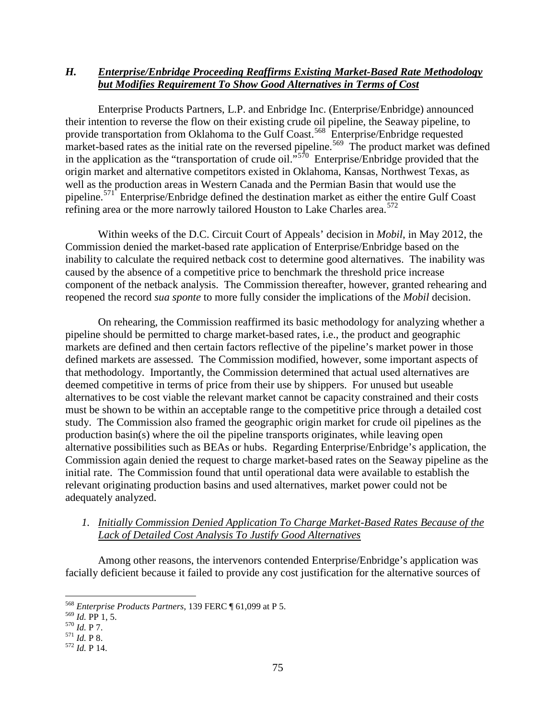## *H. Enterprise/Enbridge Proceeding Reaffirms Existing Market-Based Rate Methodology but Modifies Requirement To Show Good Alternatives in Terms of Cost*

Enterprise Products Partners, L.P. and Enbridge Inc. (Enterprise/Enbridge) announced their intention to reverse the flow on their existing crude oil pipeline, the Seaway pipeline, to provide transportation from Oklahoma to the Gulf Coast.<sup>568</sup> Enterprise/Enbridge requested market-based rates as the initial rate on the reversed pipeline.<sup>569</sup> The product market was defined in the application as the "transportation of crude oil."<sup>[570](#page-0-2)</sup> Enterprise/Enbridge provided that the origin market and alternative competitors existed in Oklahoma, Kansas, Northwest Texas, as well as the production areas in Western Canada and the Permian Basin that would use the pipeline.[571](#page-0-3) Enterprise/Enbridge defined the destination market as either the entire Gulf Coast refining area or the more narrowly tailored Houston to Lake Charles area.<sup>[572](#page-0-4)</sup>

Within weeks of the D.C. Circuit Court of Appeals' decision in *Mobil*, in May 2012, the Commission denied the market-based rate application of Enterprise/Enbridge based on the inability to calculate the required netback cost to determine good alternatives. The inability was caused by the absence of a competitive price to benchmark the threshold price increase component of the netback analysis. The Commission thereafter, however, granted rehearing and reopened the record *sua sponte* to more fully consider the implications of the *Mobil* decision.

On rehearing, the Commission reaffirmed its basic methodology for analyzing whether a pipeline should be permitted to charge market-based rates, i.e., the product and geographic markets are defined and then certain factors reflective of the pipeline's market power in those defined markets are assessed. The Commission modified, however, some important aspects of that methodology. Importantly, the Commission determined that actual used alternatives are deemed competitive in terms of price from their use by shippers. For unused but useable alternatives to be cost viable the relevant market cannot be capacity constrained and their costs must be shown to be within an acceptable range to the competitive price through a detailed cost study. The Commission also framed the geographic origin market for crude oil pipelines as the production basin(s) where the oil the pipeline transports originates, while leaving open alternative possibilities such as BEAs or hubs. Regarding Enterprise/Enbridge's application, the Commission again denied the request to charge market-based rates on the Seaway pipeline as the initial rate. The Commission found that until operational data were available to establish the relevant originating production basins and used alternatives, market power could not be adequately analyzed.

## *1. Initially Commission Denied Application To Charge Market-Based Rates Because of the Lack of Detailed Cost Analysis To Justify Good Alternatives*

Among other reasons, the intervenors contended Enterprise/Enbridge's application was facially deficient because it failed to provide any cost justification for the alternative sources of

<span id="page-0-0"></span> <sup>568</sup> *Enterprise Products Partners*, 139 FERC ¶ 61,099 at P 5.

<span id="page-0-1"></span><sup>569</sup> *Id.* PP 1, 5. <sup>570</sup> *Id.* P 7. <sup>571</sup> *Id.* P 8. <sup>572</sup> *Id.* <sup>P</sup> 14.

<span id="page-0-2"></span>

<span id="page-0-3"></span>

<span id="page-0-4"></span>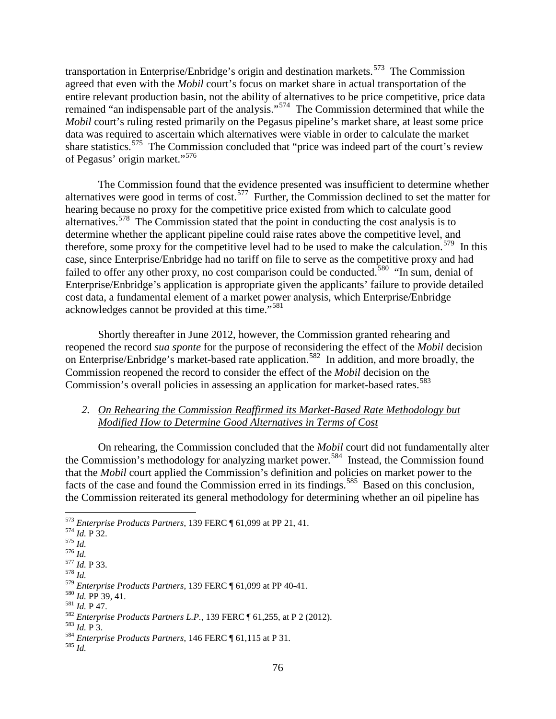transportation in Enterprise/Enbridge's origin and destination markets.<sup>573</sup> The Commission agreed that even with the *Mobil* court's focus on market share in actual transportation of the entire relevant production basin, not the ability of alternatives to be price competitive, price data remained "an indispensable part of the analysis."<sup>574</sup> The Commission determined that while the *Mobil* court's ruling rested primarily on the Pegasus pipeline's market share, at least some price data was required to ascertain which alternatives were viable in order to calculate the market share statistics.<sup>[575](#page-1-2)</sup> The Commission concluded that "price was indeed part of the court's review of Pegasus' origin market."[576](#page-1-3)

The Commission found that the evidence presented was insufficient to determine whether alternatives were good in terms of cost.[577](#page-1-4) Further, the Commission declined to set the matter for hearing because no proxy for the competitive price existed from which to calculate good alternatives. [578](#page-1-5) The Commission stated that the point in conducting the cost analysis is to determine whether the applicant pipeline could raise rates above the competitive level, and therefore, some proxy for the competitive level had to be used to make the calculation.<sup>579</sup> In this case, since Enterprise/Enbridge had no tariff on file to serve as the competitive proxy and had failed to offer any other proxy, no cost comparison could be conducted.<sup>[580](#page-1-7)</sup> "In sum, denial of Enterprise/Enbridge's application is appropriate given the applicants' failure to provide detailed cost data, a fundamental element of a market power analysis, which Enterprise/Enbridge acknowledges cannot be provided at this time."<sup>[581](#page-1-8)</sup>

Shortly thereafter in June 2012, however, the Commission granted rehearing and reopened the record *sua sponte* for the purpose of reconsidering the effect of the *Mobil* decision on Enterprise/Enbridge's market-based rate application.<sup>[582](#page-1-9)</sup> In addition, and more broadly, the Commission reopened the record to consider the effect of the *Mobil* decision on the Commission's overall policies in assessing an application for market-based rates.<sup>583</sup>

## *2. On Rehearing the Commission Reaffirmed its Market-Based Rate Methodology but Modified How to Determine Good Alternatives in Terms of Cost*

On rehearing, the Commission concluded that the *Mobil* court did not fundamentally alter the Commission's methodology for analyzing market power.<sup>[584](#page-1-11)</sup> Instead, the Commission found that the *Mobil* court applied the Commission's definition and policies on market power to the facts of the case and found the Commission erred in its findings.<sup>[585](#page-1-12)</sup> Based on this conclusion, the Commission reiterated its general methodology for determining whether an oil pipeline has

<span id="page-1-1"></span><span id="page-1-0"></span><sup>573</sup> *Enterprise Products Partners*, 139 FERC ¶ 61,099 at PP 21, 41.<br>574 *Id.* P 32.<br>575 *Id.*<br>577 *Id.* P 33.<br>578 *Id.* 577 *Id.* P 33.<br>578 *Id.* 579 *Enterprise Products Partners*, 139 FERC ¶ 61,099 at PP 40-41.

<span id="page-1-2"></span>

<span id="page-1-4"></span><span id="page-1-3"></span>

<span id="page-1-5"></span>

<span id="page-1-8"></span><span id="page-1-7"></span><span id="page-1-6"></span><sup>&</sup>lt;sup>580</sup> *Id.* PP 39, 41.<br>
<sup>581</sup> *Id.* P 47.<br>
<sup>582</sup> *Enterprise Products Partners L.P.*, 139 FERC ¶ 61,255, at P 2 (2012).<br>
<sup>583</sup> *Id.* P 3.<br>
<sup>584</sup> *Enterprise Products Partners*, 146 FERC ¶ 61,115 at P 31.<br>
<sup>585</sup> *Id.* 

<span id="page-1-11"></span><span id="page-1-10"></span><span id="page-1-9"></span>

<span id="page-1-12"></span>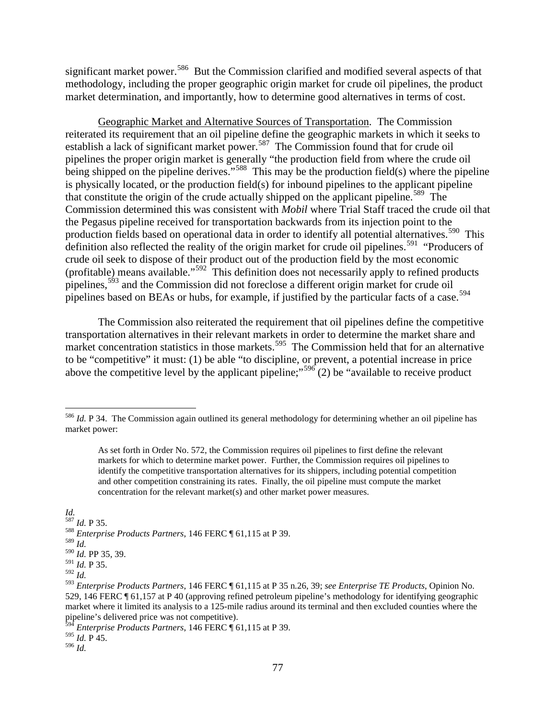significant market power.<sup>586</sup> But the Commission clarified and modified several aspects of that methodology, including the proper geographic origin market for crude oil pipelines, the product market determination, and importantly, how to determine good alternatives in terms of cost.

Geographic Market and Alternative Sources of Transportation. The Commission reiterated its requirement that an oil pipeline define the geographic markets in which it seeks to establish a lack of significant market power.<sup>[587](#page-2-1)</sup> The Commission found that for crude oil pipelines the proper origin market is generally "the production field from where the crude oil being shipped on the pipeline derives."<sup>[588](#page-2-2)</sup> This may be the production field(s) where the pipeline is physically located, or the production field(s) for inbound pipelines to the applicant pipeline that constitute the origin of the crude actually shipped on the applicant pipeline.<sup>589</sup> The Commission determined this was consistent with *Mobil* where Trial Staff traced the crude oil that the Pegasus pipeline received for transportation backwards from its injection point to the production fields based on operational data in order to identify all potential alternatives.<sup>[590](#page-2-4)</sup> This definition also reflected the reality of the origin market for crude oil pipelines.<sup>[591](#page-2-5)</sup> "Producers of crude oil seek to dispose of their product out of the production field by the most economic (profitable) means available."[592](#page-2-6) This definition does not necessarily apply to refined products pipelines,<sup>[593](#page-2-7)</sup> and the Commission did not foreclose a different origin market for crude oil pipelines based on BEAs or hubs, for example, if justified by the particular facts of a case.<sup>[594](#page-2-8)</sup>

The Commission also reiterated the requirement that oil pipelines define the competitive transportation alternatives in their relevant markets in order to determine the market share and market concentration statistics in those markets. [595](#page-2-9) The Commission held that for an alternative to be "competitive" it must: (1) be able "to discipline, or prevent, a potential increase in price above the competitive level by the applicant pipeline;"<sup>[596](#page-2-10)</sup> $(2)$  be "available to receive product

<span id="page-2-1"></span>*Id.*<br><sup>587</sup> *Id.* P 35.

<span id="page-2-3"></span><span id="page-2-2"></span><sup>589</sup> *Id.*

<span id="page-2-6"></span><span id="page-2-5"></span><sup>592</sup> *Id.*

<span id="page-2-10"></span><span id="page-2-9"></span><sup>596</sup> *Id.*

<span id="page-2-0"></span><sup>&</sup>lt;sup>586</sup> *Id.* P 34. The Commission again outlined its general methodology for determining whether an oil pipeline has market power:

As set forth in Order No. 572, the Commission requires oil pipelines to first define the relevant markets for which to determine market power. Further, the Commission requires oil pipelines to identify the competitive transportation alternatives for its shippers, including potential competition and other competition constraining its rates. Finally, the oil pipeline must compute the market concentration for the relevant market(s) and other market power measures.

<sup>&</sup>lt;sup>588</sup> *Enterprise Products Partners*, 146 FERC ¶ 61,115 at P 39.

<span id="page-2-4"></span><sup>590</sup> *Id.* PP 35, 39.

<sup>591</sup> *Id.* P 35.

<span id="page-2-7"></span><sup>593</sup> *Enterprise Products Partners*, 146 FERC ¶ 61,115 at P 35 n.26, 39; *see Enterprise TE Products*, Opinion No. 529, 146 FERC ¶ 61,157 at P 40 (approving refined petroleum pipeline's methodology for identifying geographic market where it limited its analysis to a 125-mile radius around its terminal and then excluded counties where the pipeline's delivered price was not competitive).

<span id="page-2-8"></span><sup>594</sup> *Enterprise Products Partners*, 146 FERC ¶ 61,115 at P 39.  $^{595}$  *Id.* P 45.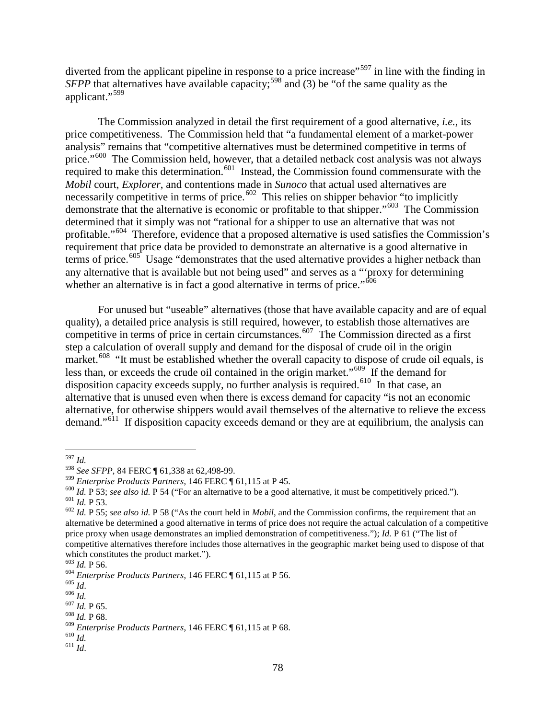diverted from the applicant pipeline in response to a price increase"<sup>[597](#page-3-0)</sup> in line with the finding in *SFPP* that alternatives have available capacity;<sup>[598](#page-3-1)</sup> and (3) be "of the same quality as the applicant."[599](#page-3-2)

The Commission analyzed in detail the first requirement of a good alternative, *i.e.*, its price competitiveness. The Commission held that "a fundamental element of a market-power analysis" remains that "competitive alternatives must be determined competitive in terms of price."<sup>[600](#page-3-3)</sup> The Commission held, however, that a detailed netback cost analysis was not always required to make this determination.<sup>601</sup> Instead, the Commission found commensurate with the *Mobil* court, *Explorer*, and contentions made in *Sunoco* that actual used alternatives are necessarily competitive in terms of price.<sup>602</sup> This relies on shipper behavior "to implicitly demonstrate that the alternative is economic or profitable to that shipper."[603](#page-3-6) The Commission determined that it simply was not "rational for a shipper to use an alternative that was not profitable."<sup>604</sup> Therefore, evidence that a proposed alternative is used satisfies the Commission's requirement that price data be provided to demonstrate an alternative is a good alternative in terms of price.<sup>[605](#page-3-8)</sup> Usage "demonstrates that the used alternative provides a higher netback than any alternative that is available but not being used" and serves as a "'proxy for determining whether an alternative is in fact a good alternative in terms of price."<sup>606</sup>

For unused but "useable" alternatives (those that have available capacity and are of equal quality), a detailed price analysis is still required, however, to establish those alternatives are competitive in terms of price in certain circumstances. [607](#page-3-10) The Commission directed as a first step a calculation of overall supply and demand for the disposal of crude oil in the origin market.<sup>[608](#page-3-11)</sup> "It must be established whether the overall capacity to dispose of crude oil equals, is less than, or exceeds the crude oil contained in the origin market."<sup>[609](#page-3-12)</sup> If the demand for disposition capacity exceeds supply, no further analysis is required.<sup>610</sup> In that case, an alternative that is unused even when there is excess demand for capacity "is not an economic alternative, for otherwise shippers would avail themselves of the alternative to relieve the excess demand."<sup>[611](#page-3-14)</sup> If disposition capacity exceeds demand or they are at equilibrium, the analysis can

<span id="page-3-14"></span>

 <sup>597</sup> *Id.*

<span id="page-3-2"></span><span id="page-3-1"></span><span id="page-3-0"></span><sup>&</sup>lt;sup>598</sup> *See SFPP*, 84 FERC ¶ 61,338 at 62,498-99.<br><sup>599</sup> *Enterprise Products Partners*, 146 FERC ¶ 61,115 at P 45.

<span id="page-3-3"></span><sup>&</sup>lt;sup>600</sup> *Id.* P 53; *see also id.* P 54 ("For an alternative to be a good alternative, it must be competitively priced.").<br><sup>601</sup> *Id.* P 53. *see also id.* P 58 ("As the court held in *Mobil*, and the Commission confirms, t

<span id="page-3-5"></span><span id="page-3-4"></span>alternative be determined a good alternative in terms of price does not require the actual calculation of a competitive price proxy when usage demonstrates an implied demonstration of competitiveness."); *Id.* P 61 ("The list of competitive alternatives therefore includes those alternatives in the geographic market being used to dispose of that which constitutes the product market.").<br>
<sup>603</sup> *Id.* P 56.<br>
<sup>604</sup> *Enterprise Products Partners*, 146 FERC ¶ 61,115 at P 56.<br>
<sup>605</sup> *Id.*<br>
<sup>607</sup> *Id.* P 65.<br>
<sup>607</sup> *Id.* P 68.

<span id="page-3-6"></span>

<span id="page-3-7"></span>

<span id="page-3-8"></span>

<span id="page-3-10"></span><span id="page-3-9"></span>

<span id="page-3-13"></span><span id="page-3-12"></span><span id="page-3-11"></span><sup>609</sup> *Enterprise Products Partners*, 146 FERC ¶ 61,115 at P 68. <sup>610</sup> *Id.* <sup>611</sup> *Id*.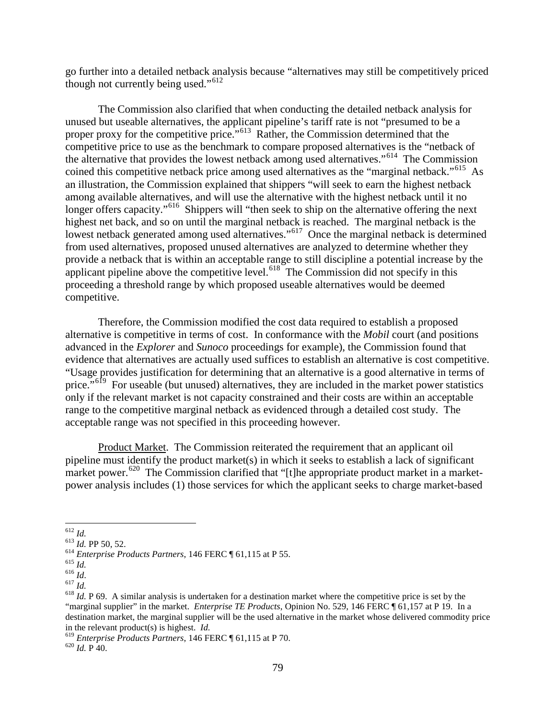go further into a detailed netback analysis because "alternatives may still be competitively priced though not currently being used."<sup>[612](#page-4-0)</sup>

The Commission also clarified that when conducting the detailed netback analysis for unused but useable alternatives, the applicant pipeline's tariff rate is not "presumed to be a proper proxy for the competitive price."<sup>613</sup> Rather, the Commission determined that the competitive price to use as the benchmark to compare proposed alternatives is the "netback of the alternative that provides the lowest netback among used alternatives."[614](#page-4-2) The Commission coined this competitive netback price among used alternatives as the "marginal netback."<sup>[615](#page-4-3)</sup> As an illustration, the Commission explained that shippers "will seek to earn the highest netback among available alternatives, and will use the alternative with the highest netback until it no longer offers capacity."<sup>616</sup> Shippers will "then seek to ship on the alternative offering the next highest net back, and so on until the marginal netback is reached. The marginal netback is the lowest netback generated among used alternatives."<sup>[617](#page-4-5)</sup> Once the marginal netback is determined from used alternatives, proposed unused alternatives are analyzed to determine whether they provide a netback that is within an acceptable range to still discipline a potential increase by the applicant pipeline above the competitive level.<sup>618</sup> The Commission did not specify in this proceeding a threshold range by which proposed useable alternatives would be deemed competitive.

Therefore, the Commission modified the cost data required to establish a proposed alternative is competitive in terms of cost. In conformance with the *Mobil* court (and positions advanced in the *Explorer* and *Sunoco* proceedings for example), the Commission found that evidence that alternatives are actually used suffices to establish an alternative is cost competitive. "Usage provides justification for determining that an alternative is a good alternative in terms of price."<sup>[619](#page-4-7)</sup> For useable (but unused) alternatives, they are included in the market power statistics only if the relevant market is not capacity constrained and their costs are within an acceptable range to the competitive marginal netback as evidenced through a detailed cost study. The acceptable range was not specified in this proceeding however.

Product Market. The Commission reiterated the requirement that an applicant oil pipeline must identify the product market(s) in which it seeks to establish a lack of significant market power.<sup>[620](#page-4-8)</sup> The Commission clarified that "[t]he appropriate product market in a marketpower analysis includes (1) those services for which the applicant seeks to charge market-based

<span id="page-4-2"></span>

<span id="page-4-3"></span>

<span id="page-4-4"></span>

<span id="page-4-6"></span><span id="page-4-5"></span>

<span id="page-4-1"></span><span id="page-4-0"></span><sup>&</sup>lt;sup>612</sup> *Id.*<br><sup>613</sup> *Id.* PP 50, 52.<br><sup>614</sup> *Enterprise Products Partners*, 146 FERC ¶ 61,115 at P 55.<br><sup>615</sup> *Id.*<br><sup>617</sup> *Id.*<br><sup>617</sup> *Id.*<br><sup>617</sup> *Id.*<br><sup>618</sup> *Id.* P 69. A similar analysis is undertaken for a destination mark "marginal supplier" in the market. *Enterprise TE Products*, Opinion No. 529, 146 FERC ¶ 61,157 at P 19. In a destination market, the marginal supplier will be the used alternative in the market whose delivered commodity price

<span id="page-4-7"></span>in the relevant product(s) is highest. *Id.*<br><sup>619</sup> *Enterprise Products Partners*, 146 FERC ¶ 61,115 at P 70. <sup>620</sup> *Id.* P 40.

<span id="page-4-8"></span>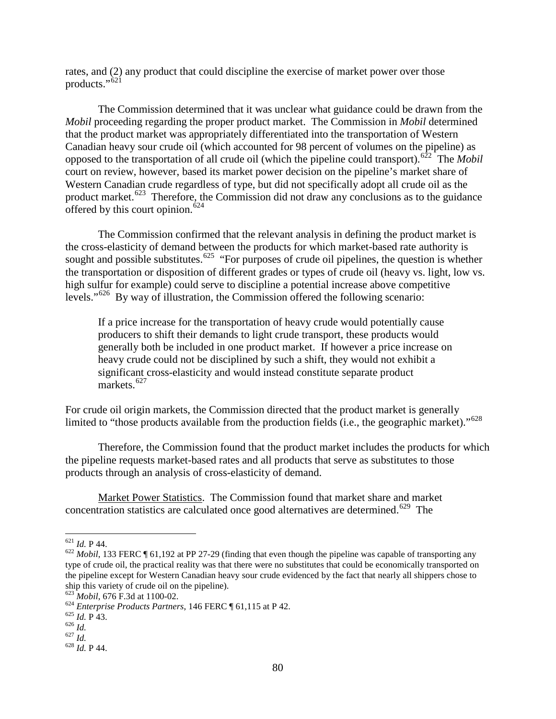rates, and (2) any product that could discipline the exercise of market power over those products." $\dot{6}^{21}$ 

The Commission determined that it was unclear what guidance could be drawn from the *Mobil* proceeding regarding the proper product market. The Commission in *Mobil* determined that the product market was appropriately differentiated into the transportation of Western Canadian heavy sour crude oil (which accounted for 98 percent of volumes on the pipeline) as opposed to the transportation of all crude oil (which the pipeline could transport).[622](#page-5-1) The *Mobil* court on review, however, based its market power decision on the pipeline's market share of Western Canadian crude regardless of type, but did not specifically adopt all crude oil as the product market.<sup>[623](#page-5-2)</sup> Therefore, the Commission did not draw any conclusions as to the guidance offered by this court opinion. $624$ 

The Commission confirmed that the relevant analysis in defining the product market is the cross-elasticity of demand between the products for which market-based rate authority is sought and possible substitutes.<sup>[625](#page-5-4)</sup> "For purposes of crude oil pipelines, the question is whether the transportation or disposition of different grades or types of crude oil (heavy vs. light, low vs. high sulfur for example) could serve to discipline a potential increase above competitive levels."[626](#page-5-5) By way of illustration, the Commission offered the following scenario:

If a price increase for the transportation of heavy crude would potentially cause producers to shift their demands to light crude transport, these products would generally both be included in one product market. If however a price increase on heavy crude could not be disciplined by such a shift, they would not exhibit a significant cross-elasticity and would instead constitute separate product markets.<sup>[627](#page-5-6)</sup>

For crude oil origin markets, the Commission directed that the product market is generally limited to "those products available from the production fields (i.e., the geographic market)."<sup>[628](#page-5-7)</sup>

Therefore, the Commission found that the product market includes the products for which the pipeline requests market-based rates and all products that serve as substitutes to those products through an analysis of cross-elasticity of demand.

Market Power Statistics. The Commission found that market share and market concentration statistics are calculated once good alternatives are determined.<sup>[629](#page-5-8)</sup> The

<span id="page-5-8"></span><span id="page-5-1"></span><span id="page-5-0"></span><sup>621</sup> *Id.* P 44. <sup>622</sup> *Mobil*, 133 FERC ¶ 61,192 at PP 27-29 (finding that even though the pipeline was capable of transporting any type of crude oil, the practical reality was that there were no substitutes that could be economically transported on the pipeline except for Western Canadian heavy sour crude evidenced by the fact that nearly all shippers chose to ship this variety of crude oil on the pipeline).<br> $623 \text{ Mobil}, 676 \text{ F}$ .3d at 1100-02.

<span id="page-5-4"></span><span id="page-5-3"></span><span id="page-5-2"></span><sup>&</sup>lt;sup>624</sup> *Enterprise Products Partners*, 146 FERC ¶ 61,115 at P 42.<br><sup>625</sup> *Id.* P 43.<br><sup>626</sup> *Id.* 627 *Id.* 628 *Id.* P 44.

<span id="page-5-5"></span>

<span id="page-5-6"></span>

<span id="page-5-7"></span>